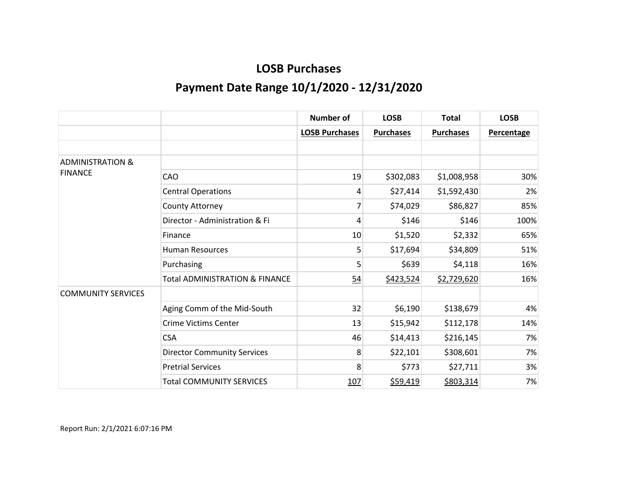|                             |                                           | <b>Number of</b>      | <b>LOSB</b>      | <b>Total</b>     | <b>LOSB</b>       |
|-----------------------------|-------------------------------------------|-----------------------|------------------|------------------|-------------------|
|                             |                                           | <b>LOSB Purchases</b> | <b>Purchases</b> | <b>Purchases</b> | <b>Percentage</b> |
|                             |                                           |                       |                  |                  |                   |
| <b>ADMINISTRATION &amp;</b> |                                           |                       |                  |                  |                   |
| <b>FINANCE</b>              | <b>CAO</b>                                | 19                    | \$302,083        | \$1,008,958      | 30%               |
|                             | <b>Central Operations</b>                 | 4                     | \$27,414         | \$1,592,430      | 2%                |
|                             | County Attorney                           | 7                     | \$74,029         | \$86,827         | 85%               |
|                             | Director - Administration & Fi            | 4                     | \$146            | \$146            | 100%              |
|                             | Finance                                   | 10                    | \$1,520          | \$2,332          | 65%               |
|                             | <b>Human Resources</b>                    | 5                     | \$17,694         | \$34,809         | 51%               |
|                             | Purchasing                                | 5                     | \$639            | \$4,118          | 16%               |
|                             | <b>Total ADMINISTRATION &amp; FINANCE</b> | 54                    | \$423,524        | \$2,729,620      | 16%               |
| <b>COMMUNITY SERVICES</b>   |                                           |                       |                  |                  |                   |
|                             | Aging Comm of the Mid-South               | 32                    | \$6,190          | \$138,679        | 4%                |
|                             | <b>Crime Victims Center</b>               | 13                    | \$15,942         | \$112,178        | 14%               |
|                             | <b>CSA</b>                                | 46                    | \$14,413         | \$216,145        | 7%                |
|                             | <b>Director Community Services</b>        | 8                     | \$22,101         | \$308,601        | 7%                |
|                             | <b>Pretrial Services</b>                  | 8                     | \$773            | \$27,711         | 3%                |
|                             | <b>Total COMMUNITY SERVICES</b>           | 107                   | \$59,419         | \$803,314        | 7%                |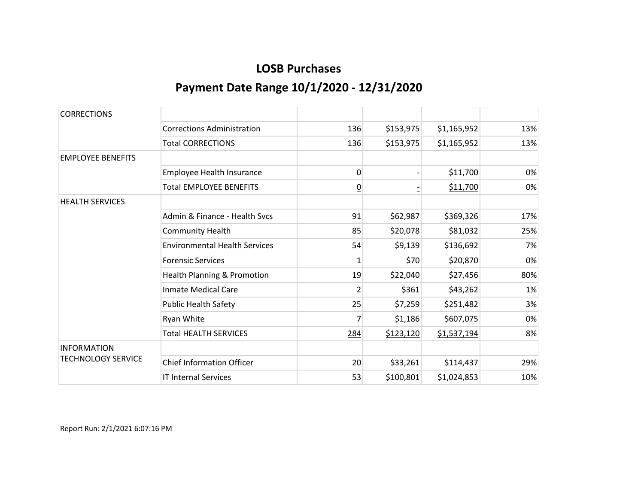| <b>CORRECTIONS</b>        |                                      |                 |           |             |     |
|---------------------------|--------------------------------------|-----------------|-----------|-------------|-----|
|                           | <b>Corrections Administration</b>    | 136             | \$153,975 | \$1,165,952 | 13% |
|                           | <b>Total CORRECTIONS</b>             | 136             | \$153,975 | \$1,165,952 | 13% |
| <b>EMPLOYEE BENEFITS</b>  |                                      |                 |           |             |     |
|                           | <b>Employee Health Insurance</b>     | 0               |           | \$11,700    | 0%  |
|                           | <b>Total EMPLOYEE BENEFITS</b>       | $\underline{0}$ |           | \$11,700    | 0%  |
| <b>HEALTH SERVICES</b>    |                                      |                 |           |             |     |
|                           | Admin & Finance - Health Sycs        | 91              | \$62,987  | \$369,326   | 17% |
|                           | <b>Community Health</b>              | 85              | \$20,078  | \$81,032    | 25% |
|                           | <b>Environmental Health Services</b> | 54              | \$9,139   | \$136,692   | 7%  |
|                           | <b>Forensic Services</b>             | 1               | \$70      | \$20,870    | 0%  |
|                           | Health Planning & Promotion          | 19              | \$22,040  | \$27,456    | 80% |
|                           | <b>Inmate Medical Care</b>           | $\overline{2}$  | \$361     | \$43,262    | 1%  |
|                           | <b>Public Health Safety</b>          | 25              | \$7,259   | \$251,482   | 3%  |
|                           | Ryan White                           |                 | \$1,186   | \$607,075   | 0%  |
|                           | <b>Total HEALTH SERVICES</b>         | 284             | \$123,120 | \$1,537,194 | 8%  |
| <b>INFORMATION</b>        |                                      |                 |           |             |     |
| <b>TECHNOLOGY SERVICE</b> | <b>Chief Information Officer</b>     | 20              | \$33,261  | \$114,437   | 29% |
|                           | <b>IT Internal Services</b>          | 53              | \$100,801 | \$1,024,853 | 10% |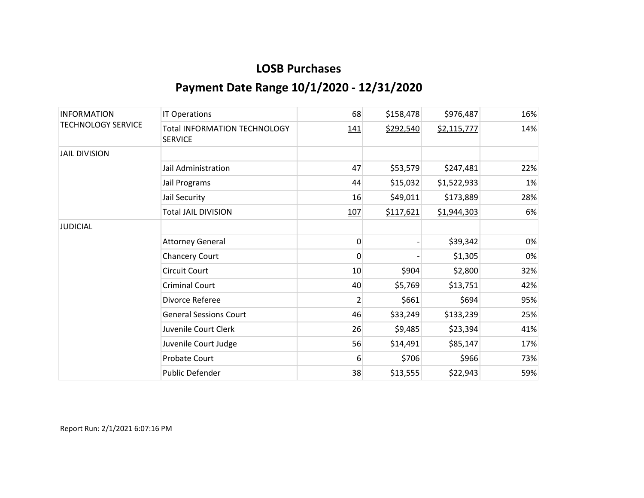| <b>INFORMATION</b><br><b>TECHNOLOGY SERVICE</b> | <b>IT Operations</b>                                  | 68             | \$158,478 | \$976,487   | 16% |
|-------------------------------------------------|-------------------------------------------------------|----------------|-----------|-------------|-----|
|                                                 | <b>Total INFORMATION TECHNOLOGY</b><br><b>SERVICE</b> | 141            | \$292,540 | \$2,115,777 | 14% |
| <b>JAIL DIVISION</b>                            |                                                       |                |           |             |     |
|                                                 | Jail Administration                                   | 47             | \$53,579  | \$247,481   | 22% |
|                                                 | Jail Programs                                         | 44             | \$15,032  | \$1,522,933 | 1%  |
|                                                 | Jail Security                                         | 16             | \$49,011  | \$173,889   | 28% |
|                                                 | <b>Total JAIL DIVISION</b>                            | 107            | \$117,621 | \$1,944,303 | 6%  |
| <b>JUDICIAL</b>                                 |                                                       |                |           |             |     |
|                                                 | <b>Attorney General</b>                               | 0              |           | \$39,342    | 0%  |
|                                                 | <b>Chancery Court</b>                                 | 0              |           | \$1,305     | 0%  |
|                                                 | <b>Circuit Court</b>                                  | 10             | \$904     | \$2,800     | 32% |
|                                                 | <b>Criminal Court</b>                                 | 40             | \$5,769   | \$13,751    | 42% |
|                                                 | Divorce Referee                                       | $\overline{2}$ | \$661     | \$694       | 95% |
|                                                 | <b>General Sessions Court</b>                         | 46             | \$33,249  | \$133,239   | 25% |
|                                                 | Juvenile Court Clerk                                  | 26             | \$9,485   | \$23,394    | 41% |
|                                                 | Juvenile Court Judge                                  | 56             | \$14,491  | \$85,147    | 17% |
|                                                 | Probate Court                                         | 6              | \$706     | \$966       | 73% |
|                                                 | Public Defender                                       | 38             | \$13,555  | \$22,943    | 59% |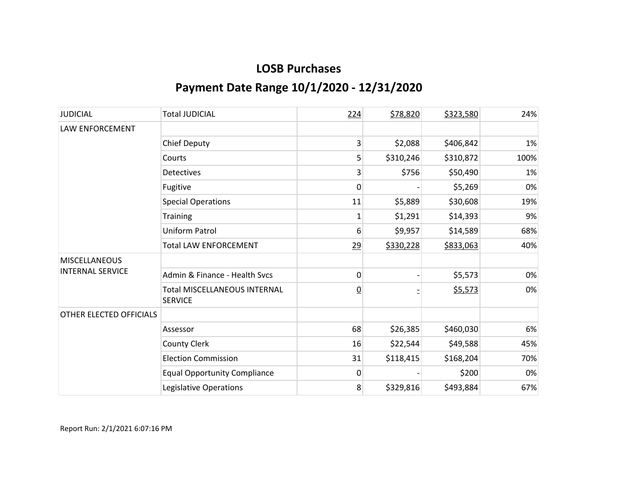| <b>JUDICIAL</b>                                 | <b>Total JUDICIAL</b>                                 | 224            | \$78,820  | \$323,580 | 24%  |
|-------------------------------------------------|-------------------------------------------------------|----------------|-----------|-----------|------|
| LAW ENFORCEMENT                                 |                                                       |                |           |           |      |
|                                                 | <b>Chief Deputy</b>                                   | 3              | \$2,088   | \$406,842 | 1%   |
|                                                 | Courts                                                | 5              | \$310,246 | \$310,872 | 100% |
|                                                 | <b>Detectives</b>                                     | 3              | \$756     | \$50,490  | 1%   |
|                                                 | Fugitive                                              | 0              |           | \$5,269   | 0%   |
|                                                 | <b>Special Operations</b>                             | 11             | \$5,889   | \$30,608  | 19%  |
|                                                 | <b>Training</b>                                       | 1              | \$1,291   | \$14,393  | 9%   |
|                                                 | Uniform Patrol                                        | 6              | \$9,957   | \$14,589  | 68%  |
|                                                 | <b>Total LAW ENFORCEMENT</b>                          | 29             | \$330,228 | \$833,063 | 40%  |
| <b>MISCELLANEOUS</b><br><b>INTERNAL SERVICE</b> |                                                       |                |           |           |      |
|                                                 | Admin & Finance - Health Svcs                         | 0              |           | \$5,573   | 0%   |
|                                                 | <b>Total MISCELLANEOUS INTERNAL</b><br><b>SERVICE</b> | $\overline{0}$ |           | \$5,573   | 0%   |
| OTHER ELECTED OFFICIALS                         |                                                       |                |           |           |      |
|                                                 | Assessor                                              | 68             | \$26,385  | \$460,030 | 6%   |
|                                                 | <b>County Clerk</b>                                   | 16             | \$22,544  | \$49,588  | 45%  |
|                                                 | <b>Election Commission</b>                            | 31             | \$118,415 | \$168,204 | 70%  |
|                                                 | <b>Equal Opportunity Compliance</b>                   | 0              |           | \$200     | 0%   |
|                                                 | Legislative Operations                                | 8              | \$329,816 | \$493,884 | 67%  |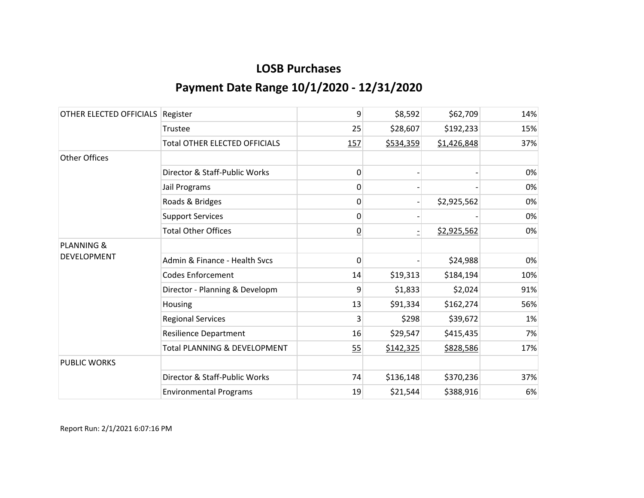| OTHER ELECTED OFFICIALS | Register                             | 9              | \$8,592   | \$62,709    | 14% |
|-------------------------|--------------------------------------|----------------|-----------|-------------|-----|
|                         | Trustee                              | 25             | \$28,607  | \$192,233   | 15% |
|                         | <b>Total OTHER ELECTED OFFICIALS</b> | 157            | \$534,359 | \$1,426,848 | 37% |
| <b>Other Offices</b>    |                                      |                |           |             |     |
|                         | Director & Staff-Public Works        | 0              |           |             | 0%  |
|                         | Jail Programs                        | 0              |           |             | 0%  |
|                         | Roads & Bridges                      | 0              |           | \$2,925,562 | 0%  |
|                         | <b>Support Services</b>              | 0              |           |             | 0%  |
|                         | <b>Total Other Offices</b>           | $\overline{0}$ |           | \$2,925,562 | 0%  |
| <b>PLANNING &amp;</b>   |                                      |                |           |             |     |
| DEVELOPMENT             | Admin & Finance - Health Svcs        | 0              |           | \$24,988    | 0%  |
|                         | <b>Codes Enforcement</b>             | 14             | \$19,313  | \$184,194   | 10% |
|                         | Director - Planning & Developm       | 9              | \$1,833   | \$2,024     | 91% |
|                         | Housing                              | 13             | \$91,334  | \$162,274   | 56% |
|                         | <b>Regional Services</b>             | 3              | \$298     | \$39,672    | 1%  |
|                         | <b>Resilience Department</b>         | 16             | \$29,547  | \$415,435   | 7%  |
|                         | Total PLANNING & DEVELOPMENT         | 55             | \$142,325 | \$828,586   | 17% |
| <b>PUBLIC WORKS</b>     |                                      |                |           |             |     |
|                         | Director & Staff-Public Works        | 74             | \$136,148 | \$370,236   | 37% |
|                         | <b>Environmental Programs</b>        | 19             | \$21,544  | \$388,916   | 6%  |